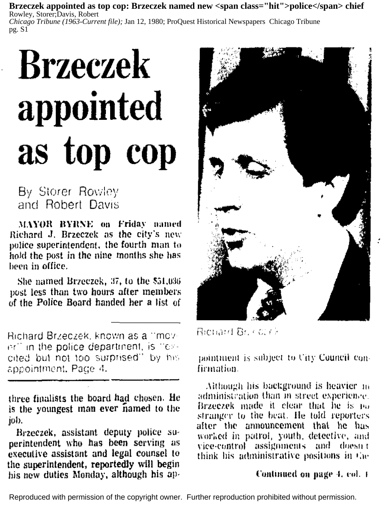Brzeczek appointed as top cop: Brzeczek named new <span class="hit">police</span> chief Rowley, Storer:Davis, Robert Chicago Tribune (1963-Current file): Jan 12, 1980: ProQuest Historical Newspapers Chicago Tribune pg. S1

## **Brzeczek** appointed as top cop

By Storer Rowley and Robert Davis

MAYOR BYRNE on Friday named Richard J. Brzeczek as the city's new police superintendent, the fourth man to hold the post in the nine months she has been in office.

She named Brzeczek, 37, to the \$51,036 post less than two hours after members of the Police Board handed her a list of

Bichard Brzeczek, known as a "mover" in the police department, is "excited but not too surprised" by his appointment, Page 4.

three finalists the board had chosen. He is the youngest man ever named to the job.

Brzeczek, assistant deputy police superintendent who has been serving as executive assistant and legal counsel to the superintendent, reportedly will begin his new duties Monday, although his ap-



Richard Br. (CCr)

nointment is subject to City Council confirmation.

Although his background is heavier in administration than in street experience. Brzeczek made it clear that he is no stranger to the beat. He told reporters after the announcement that he has worked in patrol, youth, detective, and vice-control assignments and doesn't think his administrative positions in the

## Continued on page 4, col. 1

Reproduced with permission of the copyright owner. Further reproduction prohibited without permission.